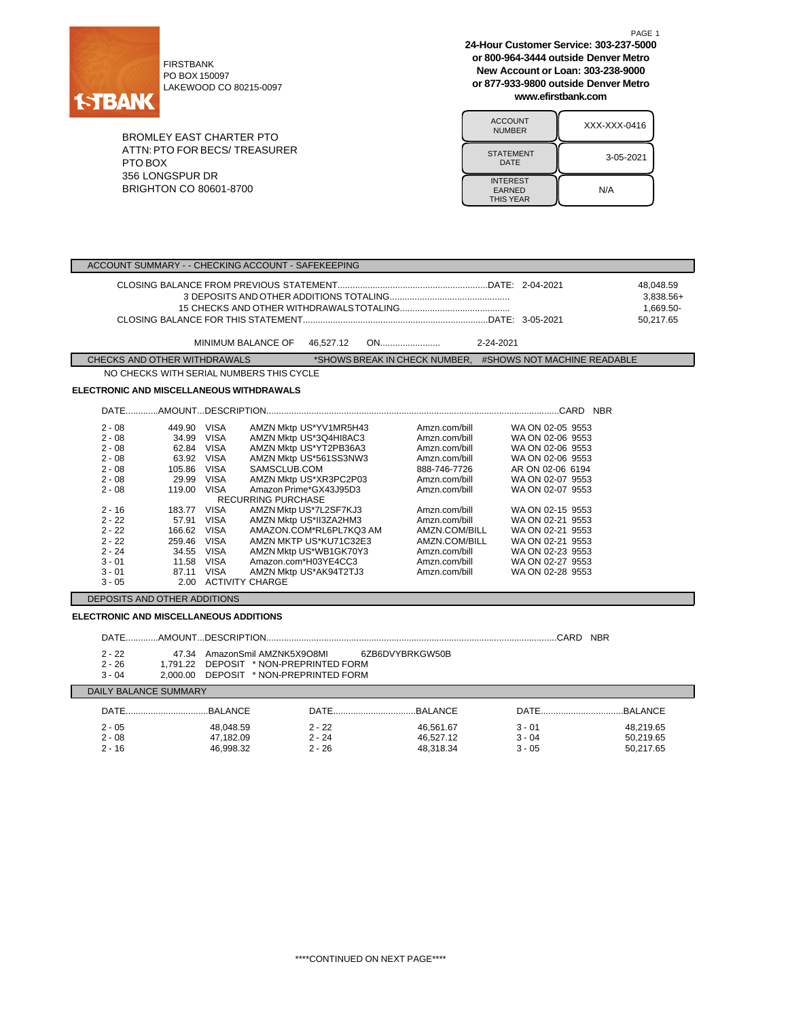

PO BOX 150097 LAKEWOOD CO 80215-0097

BROMLEY EAST CHARTER PTO ATTN:PTO FOR BECS/ TREASURER PTO BOX 356 LONGSPUR DR BRIGHTON CO 80601-8700

**24-Hour Customer Service: 303-237-5000 or 800-964-3444 outside Denver Metro New Account or Loan: 303-238-9000 or 877-933-9800 outside Denver Metro www.efirstbank.com**

PAGE 1

| <b>ACCOUNT</b><br><b>NUMBER</b>                      | XXX-XXX-0416 |
|------------------------------------------------------|--------------|
| <b>STATEMENT</b><br>DATE                             | 3-05-2021    |
| <b>INTEREST</b><br><b>EARNED</b><br><b>THIS YEAR</b> | N/A          |

| ACCOUNT SUMMARY - - CHECKING ACCOUNT - SAFEKEEPING                                                                                                                                                                                                                                                                                                                             |                                                                                                                                                                                                                                                                                                                                                                 |                         |                                                                                                                                                                                                                                           |                                                                                                                                                                                                                                                                                      |  |
|--------------------------------------------------------------------------------------------------------------------------------------------------------------------------------------------------------------------------------------------------------------------------------------------------------------------------------------------------------------------------------|-----------------------------------------------------------------------------------------------------------------------------------------------------------------------------------------------------------------------------------------------------------------------------------------------------------------------------------------------------------------|-------------------------|-------------------------------------------------------------------------------------------------------------------------------------------------------------------------------------------------------------------------------------------|--------------------------------------------------------------------------------------------------------------------------------------------------------------------------------------------------------------------------------------------------------------------------------------|--|
|                                                                                                                                                                                                                                                                                                                                                                                |                                                                                                                                                                                                                                                                                                                                                                 |                         |                                                                                                                                                                                                                                           | 48.048.59<br>3,838.56+<br>1,669.50-<br>50,217.65                                                                                                                                                                                                                                     |  |
|                                                                                                                                                                                                                                                                                                                                                                                | MINIMUM BALANCE OF                                                                                                                                                                                                                                                                                                                                              | 46,527.12               |                                                                                                                                                                                                                                           |                                                                                                                                                                                                                                                                                      |  |
| CHECKS AND OTHER WITHDRAWALS                                                                                                                                                                                                                                                                                                                                                   |                                                                                                                                                                                                                                                                                                                                                                 |                         |                                                                                                                                                                                                                                           | *SHOWS BREAK IN CHECK NUMBER. #SHOWS NOT MACHINE READABLE                                                                                                                                                                                                                            |  |
|                                                                                                                                                                                                                                                                                                                                                                                | NO CHECKS WITH SERIAL NUMBERS THIS CYCLE                                                                                                                                                                                                                                                                                                                        |                         |                                                                                                                                                                                                                                           |                                                                                                                                                                                                                                                                                      |  |
| ELECTRONIC AND MISCELLANEOUS WITHDRAWALS                                                                                                                                                                                                                                                                                                                                       |                                                                                                                                                                                                                                                                                                                                                                 |                         |                                                                                                                                                                                                                                           |                                                                                                                                                                                                                                                                                      |  |
|                                                                                                                                                                                                                                                                                                                                                                                |                                                                                                                                                                                                                                                                                                                                                                 |                         |                                                                                                                                                                                                                                           |                                                                                                                                                                                                                                                                                      |  |
| $2 - 08$<br>449.90 VISA<br>$2 - 08$<br>34.99 VISA<br>$2 - 08$<br>62.84 VISA<br>63.92 VISA<br>$2 - 08$<br>$2 - 08$<br>105.86 VISA<br>$2 - 08$<br>29.99 VISA<br>$2 - 08$<br>119.00 VISA<br>183.77 VISA<br>$2 - 16$<br>$2 - 22$<br>57.91 VISA<br>$2 - 22$<br>166.62 VISA<br>$2 - 22$<br>259.46 VISA<br>$2 - 24$<br>34.55 VISA<br>11.58 VISA<br>$3 - 01$<br>87.11 VISA<br>$3 - 01$ | AMZN Mktp US*YV1MR5H43<br>AMZN Mktp US*3Q4HI8AC3<br>AMZN Mktp US*YT2PB36A3<br>AMZN Mktp US*561SS3NW3<br>SAMSCLUB.COM<br>AMZN Mktp US*XR3PC2P03<br>Amazon Prime*GX43J95D3<br><b>RECURRING PURCHASE</b><br>AMZN Mktp US*7L2SF7KJ3<br>AMZN Mktp US*II3ZA2HM3<br>AMZN MKTP US*KU71C32E3<br>AMZN Mktp US*WB1GK70Y3<br>Amazon.com*H03YE4CC3<br>AMZN Mktp US*AK94T2TJ3 | AMAZON.COM*RL6PL7KQ3 AM | Amzn.com/bill<br>Amzn.com/bill<br>Amzn.com/bill<br>Amzn.com/bill<br>888-746-7726<br>Amzn.com/bill<br>Amzn.com/bill<br>Amzn.com/bill<br>Amzn.com/bill<br>AMZN.COM/BILL<br>AMZN.COM/BILL<br>Amzn.com/bill<br>Amzn.com/bill<br>Amzn.com/bill | WA ON 02-05 9553<br>WA ON 02-06 9553<br>WA ON 02-06 9553<br>WA ON 02-06 9553<br>AR ON 02-06 6194<br>WA ON 02-07 9553<br>WA ON 02-07 9553<br>WA ON 02-15 9553<br>WA ON 02-21 9553<br>WA ON 02-21 9553<br>WA ON 02-21 9553<br>WA ON 02-23 9553<br>WA ON 02-27 9553<br>WA ON 02-28 9553 |  |
| 2.00 ACTIVITY CHARGE<br>$3 - 05$                                                                                                                                                                                                                                                                                                                                               |                                                                                                                                                                                                                                                                                                                                                                 |                         |                                                                                                                                                                                                                                           |                                                                                                                                                                                                                                                                                      |  |
| DEPOSITS AND OTHER ADDITIONS<br><b>ELECTRONIC AND MISCELLANEOUS ADDITIONS</b>                                                                                                                                                                                                                                                                                                  |                                                                                                                                                                                                                                                                                                                                                                 |                         |                                                                                                                                                                                                                                           |                                                                                                                                                                                                                                                                                      |  |
| 47.34 AmazonSmil AMZNK5X9O8MI<br>6ZB6DVYBRKGW50B<br>$2 - 22$<br>$2 - 26$<br>1.791.22 DEPOSIT * NON-PREPRINTED FORM<br>2,000.00 DEPOSIT * NON-PREPRINTED FORM<br>$3 - 04$                                                                                                                                                                                                       |                                                                                                                                                                                                                                                                                                                                                                 |                         |                                                                                                                                                                                                                                           |                                                                                                                                                                                                                                                                                      |  |
| DAILY BALANCE SUMMARY                                                                                                                                                                                                                                                                                                                                                          |                                                                                                                                                                                                                                                                                                                                                                 |                         |                                                                                                                                                                                                                                           |                                                                                                                                                                                                                                                                                      |  |

| DAILY BALANCE SUMMARY |           |          |           |          |           |
|-----------------------|-----------|----------|-----------|----------|-----------|
| DATE                  | BAI ANCE  |          |           | DATE     | .BALANCE  |
| $2 - 05$              | 48.048.59 | $2 - 22$ | 46.561.67 | $3 - 01$ | 48,219.65 |
| $2 - 08$              | 47,182.09 | $2 - 24$ | 46.527.12 | $3 - 04$ | 50,219.65 |
| $2 - 16$              | 46.998.32 | $2 - 26$ | 48.318.34 | $3 - 05$ | 50.217.65 |